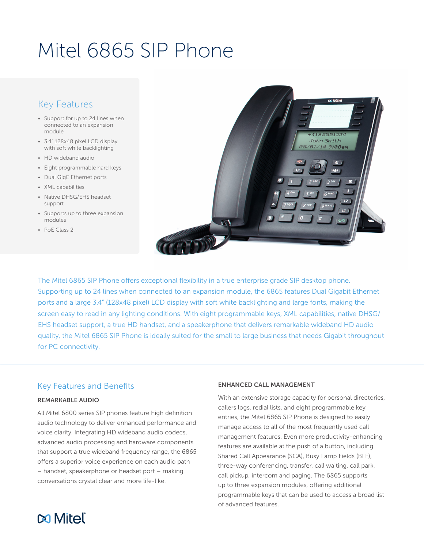# Mitel 6865 SIP Phone

# Key Features

- Support for up to 24 lines when connected to an expansion module
- 3.4" 128x48 pixel LCD display with soft white backlighting
- HD wideband audio
- Eight programmable hard keys
- Dual GigE Ethernet ports
- XML capabilities
- Native DHSG/EHS headset support
- Supports up to three expansion modules
- PoE Class 2



The Mitel 6865 SIP Phone offers exceptional flexibility in a true enterprise grade SIP desktop phone. Supporting up to 24 lines when connected to an expansion module, the 6865 features Dual Gigabit Ethernet ports and a large 3.4" (128x48 pixel) LCD display with soft white backlighting and large fonts, making the screen easy to read in any lighting conditions. With eight programmable keys, XML capabilities, native DHSG/ EHS headset support, a true HD handset, and a speakerphone that delivers remarkable wideband HD audio quality, the Mitel 6865 SIP Phone is ideally suited for the small to large business that needs Gigabit throughout for PC connectivity.

# Key Features and Benefits

#### REMARKABLE AUDIO

All Mitel 6800 series SIP phones feature high definition audio technology to deliver enhanced performance and voice clarity. Integrating HD wideband audio codecs, advanced audio processing and hardware components that support a true wideband frequency range, the 6865 offers a superior voice experience on each audio path – handset, speakerphone or headset port – making conversations crystal clear and more life-like.

#### ENHANCED CALL MANAGEMENT

With an extensive storage capacity for personal directories, callers logs, redial lists, and eight programmable key entries, the Mitel 6865 SIP Phone is designed to easily manage access to all of the most frequently used call management features. Even more productivity-enhancing features are available at the push of a button, including Shared Call Appearance (SCA), Busy Lamp Fields (BLF), three-way conferencing, transfer, call waiting, call park, call pickup, intercom and paging. The 6865 supports up to three expansion modules, offering additional programmable keys that can be used to access a broad list of advanced features.

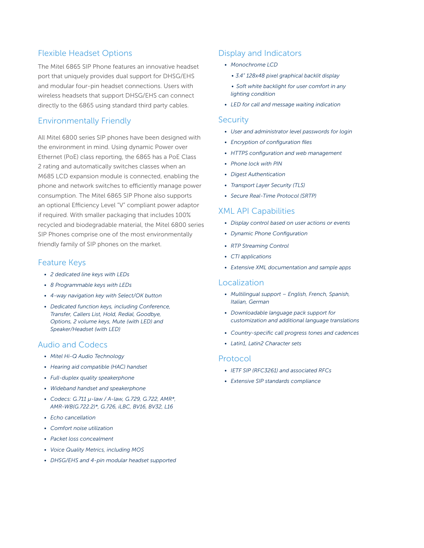# Flexible Headset Options

The Mitel 6865 SIP Phone features an innovative headset port that uniquely provides dual support for DHSG/EHS and modular four-pin headset connections. Users with wireless headsets that support DHSG/EHS can connect directly to the 6865 using standard third party cables.

# Environmentally Friendly

All Mitel 6800 series SIP phones have been designed with the environment in mind. Using dynamic Power over Ethernet (PoE) class reporting, the 6865 has a PoE Class 2 rating and automatically switches classes when an M685 LCD expansion module is connected, enabling the phone and network switches to efficiently manage power consumption. The Mitel 6865 SIP Phone also supports an optional Efficiency Level "V" compliant power adaptor if required. With smaller packaging that includes 100% recycled and biodegradable material, the Mitel 6800 series SIP Phones comprise one of the most environmentally friendly family of SIP phones on the market.

## Feature Keys

- *• 2 dedicated line keys with LEDs*
- *• 8 Programmable keys with LEDs*
- *• 4-way navigation key with Select/OK button*
- *• Dedicated function keys, including Conference, Transfer, Callers List, Hold, Redial, Goodbye, Options, 2 volume keys, Mute (with LED) and Speaker/Headset (with LED)*

#### Audio and Codecs

- *• Mitel Hi-Q Audio Technology*
- *• Hearing aid compatible (HAC) handset*
- *• Full-duplex quality speakerphone*
- *• Wideband handset and speakerphone*
- *• Codecs: G.711 µ-law / A-law, G.729, G.722, AMR\*, AMR-WB(G.722.2)\*, G.726, iLBC, BV16, BV32, L16*
- *• Echo cancellation*
- *• Comfort noise utilization*
- *• Packet loss concealment*
- *• Voice Quality Metrics, including MOS*
- *• DHSG/EHS and 4-pin modular headset supported*

#### Display and Indicators

- *• Monochrome LCD* 
	- *• 3.4" 128x48 pixel graphical backlit display*
	- *• Soft white backlight for user comfort in any lighting condition*
- *• LED for call and message waiting indication*

#### **Security**

- *• User and administrator level passwords for login*
- *• Encryption of configuration files*
- *• HTTPS configuration and web management*
- *• Phone lock with PIN*
- *• Digest Authentication*
- *• Transport Layer Security (TLS)*
- *• Secure Real-Time Protocol (SRTP)*

#### XML API Capabilities

- *• Display control based on user actions or events*
- *• Dynamic Phone Configuration*
- *• RTP Streaming Control*
- *• CTI applications*
- *• Extensive XML documentation and sample apps*

### Localization

- *• Multilingual support English, French, Spanish, Italian, German*
- *• Downloadable language pack support for customization and additional language translations*
- *• Country-specific call progress tones and cadences*
- *• Latin1, Latin2 Character sets*

#### Protocol

- *• IETF SIP (RFC3261) and associated RFCs*
- *• Extensive SIP standards compliance*